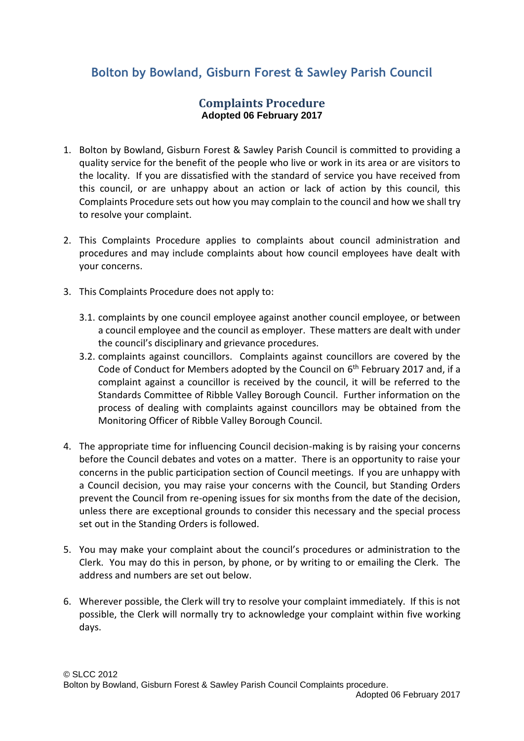## **Bolton by Bowland, Gisburn Forest & Sawley Parish Council**

## **Complaints Procedure Adopted 06 February 2017**

- 1. Bolton by Bowland, Gisburn Forest & Sawley Parish Council is committed to providing a quality service for the benefit of the people who live or work in its area or are visitors to the locality. If you are dissatisfied with the standard of service you have received from this council, or are unhappy about an action or lack of action by this council, this Complaints Procedure sets out how you may complain to the council and how we shall try to resolve your complaint.
- 2. This Complaints Procedure applies to complaints about council administration and procedures and may include complaints about how council employees have dealt with your concerns.
- 3. This Complaints Procedure does not apply to:
	- 3.1. complaints by one council employee against another council employee, or between a council employee and the council as employer. These matters are dealt with under the council's disciplinary and grievance procedures.
	- 3.2. complaints against councillors. Complaints against councillors are covered by the Code of Conduct for Members adopted by the Council on 6<sup>th</sup> February 2017 and, if a complaint against a councillor is received by the council, it will be referred to the Standards Committee of Ribble Valley Borough Council. Further information on the process of dealing with complaints against councillors may be obtained from the Monitoring Officer of Ribble Valley Borough Council.
- 4. The appropriate time for influencing Council decision-making is by raising your concerns before the Council debates and votes on a matter. There is an opportunity to raise your concerns in the public participation section of Council meetings. If you are unhappy with a Council decision, you may raise your concerns with the Council, but Standing Orders prevent the Council from re-opening issues for six months from the date of the decision, unless there are exceptional grounds to consider this necessary and the special process set out in the Standing Orders is followed.
- 5. You may make your complaint about the council's procedures or administration to the Clerk. You may do this in person, by phone, or by writing to or emailing the Clerk. The address and numbers are set out below.
- 6. Wherever possible, the Clerk will try to resolve your complaint immediately. If this is not possible, the Clerk will normally try to acknowledge your complaint within five working days.